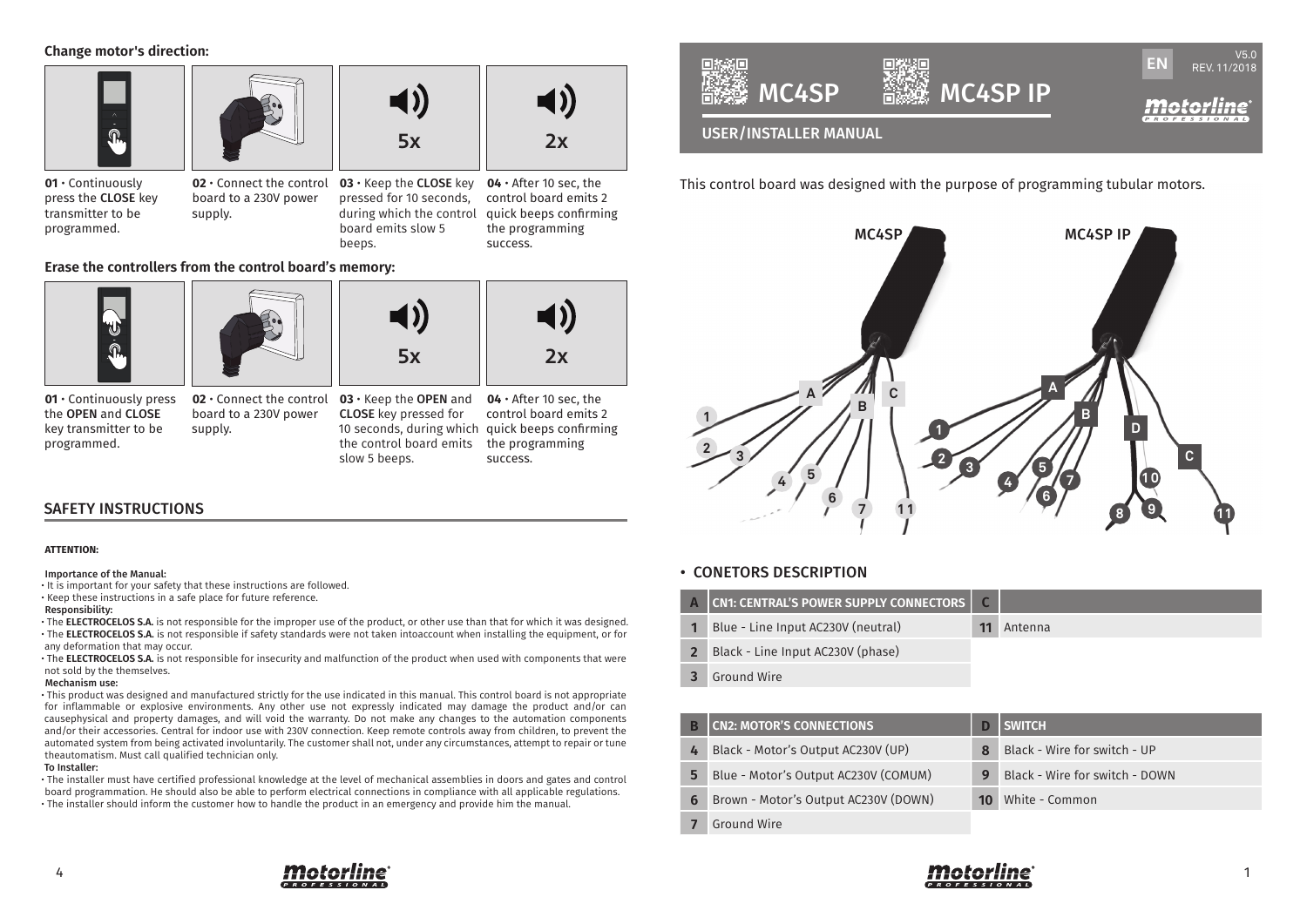**Change motor's direction:**



**01** • Continuously press the CLOSE key transmitter to be programmed.

board to a 230V power supply.

**02** • Connect the control **03** • Keep the CLOSE key **04** • After 10 sec, the pressed for 10 seconds, during which the control board emits slow 5 beeps.

control board emits 2 quick beeps confirming the programming success.

**Erase the controllers from the control board's memory:**



**01** • Continuously press the OPEN and CLOSE key transmitter to be programmed.

**02** • Connect the control board to a 230V power supply.

**03** • Keep the OPEN and CLOSE key pressed for 10 seconds, during which quick beeps confirming the control board emits slow 5 beeps.

 $5x$  2x

**04** • After 10 sec, the control board emits 2 the programming success.

# SAFETY INSTRUCTIONS

#### **ATTENTION:**

#### Importance of the Manual:

• It is important for your safety that these instructions are followed.

• Keep these instructions in a safe place for future reference.

#### Responsibility:

• The **ELECTROCELOS S.A.** is not responsible for the improper use of the product, or other use than that for which it was designed. • The **ELECTROCELOS S.A.** is not responsible if safety standards were not taken intoaccount when installing the equipment, or for any deformation that may occur.

• The **ELECTROCELOS S.A.** is not responsible for insecurity and malfunction of the product when used with components that were not sold by the themselves.

#### Mechanism use:

• This product was designed and manufactured strictly for the use indicated in this manual. This control board is not appropriate for inflammable or explosive environments. Any other use not expressly indicated may damage the product and/or can causephysical and property damages, and will void the warranty. Do not make any changes to the automation components and/or their accessories. Central for indoor use with 230V connection. Keep remote controls away from children, to prevent the automated system from being activated involuntarily. The customer shall not, under any circumstances, attempt to repair or tune theautomatism. Must call qualified technician only.

### To Installer:

• The installer must have certified professional knowledge at the level of mechanical assemblies in doors and gates and control board programmation. He should also be able to perform electrical connections in compliance with all applicable regulations. • The installer should inform the customer how to handle the product in an emergency and provide him the manual.



This control board was designed with the purpose of programming tubular motors.



## • CONETORS DESCRIPTION

|   | A CN1: CENTRAL'S POWER SUPPLY CONNECTORS   C |         |
|---|----------------------------------------------|---------|
| 1 | Blue - Line Input AC230V (neutral)           | Antenna |
|   | 2 Black - Line Input AC230V (phase)          |         |
|   |                                              |         |

**3** Ground Wire

|   | <b>CN2: MOTOR'S CONNECTIONS</b>      |    | <b>SWITCH</b>                  |
|---|--------------------------------------|----|--------------------------------|
| 4 | Black - Motor's Output AC230V (UP)   |    | Black - Wire for switch - UP   |
| 5 | Blue - Motor's Output AC230V (COMUM) |    | Black - Wire for switch - DOWN |
| 6 | Brown - Motor's Output AC230V (DOWN) | 10 | White - Common                 |
|   | Ground Wire                          |    |                                |